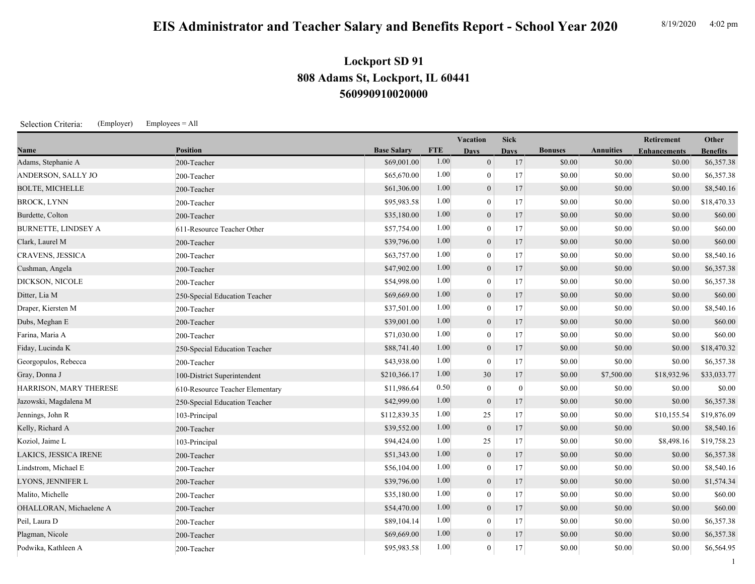## **EIS Administrator and Teacher Salary and Benefits Report - School Year 2020** 8/19/2020 4:02 pm

1

## **560990910020000 808 Adams St, Lockport, IL 60441 Lockport SD 91**

Selection Criteria: (Employer) Employees = All

|                            |                                 |                    |            | <b>Vacation</b> | <b>Sick</b>      |                |                  | Retirement          | Other           |
|----------------------------|---------------------------------|--------------------|------------|-----------------|------------------|----------------|------------------|---------------------|-----------------|
| Name                       | <b>Position</b>                 | <b>Base Salary</b> | <b>FTE</b> | <b>Days</b>     | <b>Days</b>      | <b>Bonuses</b> | <b>Annuities</b> | <b>Enhancements</b> | <b>Benefits</b> |
| Adams, Stephanie A         | 200-Teacher                     | \$69,001.00        | 1.00       | $\overline{0}$  | 17               | \$0.00         | \$0.00           | \$0.00              | \$6,357.38      |
| ANDERSON, SALLY JO         | 200-Teacher                     | \$65,670.00        | 1.00       | $\mathbf{0}$    | 17               | \$0.00         | \$0.00           | \$0.00              | \$6,357.38      |
| <b>BOLTE, MICHELLE</b>     | 200-Teacher                     | \$61,306.00        | 1.00       | $\mathbf{0}$    | 17               | \$0.00         | \$0.00           | \$0.00              | \$8,540.16      |
| <b>BROCK, LYNN</b>         | 200-Teacher                     | \$95,983.58        | 1.00       | $\theta$        | 17               | \$0.00         | \$0.00           | \$0.00              | \$18,470.33     |
| Burdette, Colton           | 200-Teacher                     | \$35,180.00        | 1.00       | $\overline{0}$  | 17               | \$0.00         | \$0.00           | \$0.00              | \$60.00         |
| <b>BURNETTE, LINDSEY A</b> | 611-Resource Teacher Other      | \$57,754.00        | 1.00       | $\theta$        | 17               | \$0.00         | \$0.00           | \$0.00              | \$60.00         |
| Clark, Laurel M            | 200-Teacher                     | \$39,796.00        | 1.00       | $\mathbf{0}$    | 17               | \$0.00         | \$0.00           | \$0.00              | \$60.00         |
| CRAVENS, JESSICA           | 200-Teacher                     | \$63,757.00        | 1.00       | $\mathbf{0}$    | 17               | \$0.00         | \$0.00           | \$0.00              | \$8,540.16      |
| Cushman, Angela            | 200-Teacher                     | \$47,902.00        | 1.00       | $\mathbf{0}$    | 17               | \$0.00         | \$0.00           | \$0.00              | \$6,357.38      |
| DICKSON, NICOLE            | 200-Teacher                     | \$54,998.00        | 1.00       | $\mathbf{0}$    | 17               | \$0.00         | \$0.00           | \$0.00              | \$6,357.38      |
| Ditter, Lia M              | 250-Special Education Teacher   | \$69,669.00        | 1.00       | $\mathbf{0}$    | 17               | \$0.00         | \$0.00           | \$0.00              | \$60.00         |
| Draper, Kiersten M         | 200-Teacher                     | \$37,501.00        | 1.00       | $\theta$        | 17               | \$0.00         | \$0.00           | \$0.00              | \$8,540.16      |
| Dubs, Meghan E             | 200-Teacher                     | \$39,001.00        | 1.00       | $\mathbf{0}$    | 17               | \$0.00         | \$0.00           | \$0.00              | \$60.00         |
| Farina, Maria A            | 200-Teacher                     | \$71,030.00        | 1.00       | $\mathbf{0}$    | 17               | \$0.00         | \$0.00           | \$0.00              | \$60.00         |
| Fiday, Lucinda K           | 250-Special Education Teacher   | \$88,741.40        | 1.00       | $\mathbf{0}$    | 17               | \$0.00         | \$0.00           | \$0.00              | \$18,470.32     |
| Georgopulos, Rebecca       | 200-Teacher                     | \$43,938.00        | 1.00       | $\theta$        | 17               | \$0.00         | \$0.00           | \$0.00              | \$6,357.38      |
| Gray, Donna J              | 100-District Superintendent     | \$210,366.17       | 1.00       | 30              | 17               | \$0.00         | \$7,500.00       | \$18,932.96         | \$33,033.77     |
| HARRISON, MARY THERESE     | 610-Resource Teacher Elementary | \$11,986.64        | 0.50       | $\theta$        | $\boldsymbol{0}$ | \$0.00         | \$0.00           | \$0.00              | \$0.00          |
| Jazowski, Magdalena M      | 250-Special Education Teacher   | \$42,999.00        | 1.00       | $\overline{0}$  | 17               | \$0.00         | \$0.00           | \$0.00              | \$6,357.38      |
| Jennings, John R           | 103-Principal                   | \$112,839.35       | 1.00       | 25              | 17               | \$0.00         | \$0.00           | \$10,155.54         | \$19,876.09     |
| Kelly, Richard A           | 200-Teacher                     | \$39,552.00        | 1.00       | $\mathbf{0}$    | 17               | \$0.00         | \$0.00           | \$0.00              | \$8,540.16      |
| Koziol, Jaime L            | 103-Principal                   | \$94,424.00        | 1.00       | 25              | 17               | \$0.00         | \$0.00           | \$8,498.16          | \$19,758.23     |
| LAKICS, JESSICA IRENE      | 200-Teacher                     | \$51,343.00        | 1.00       | $\mathbf{0}$    | 17               | \$0.00         | \$0.00           | \$0.00              | \$6,357.38      |
| Lindstrom, Michael E       | 200-Teacher                     | \$56,104.00        | 1.00       | $\theta$        | 17               | \$0.00         | \$0.00           | \$0.00              | \$8,540.16      |
| LYONS, JENNIFER L          | 200-Teacher                     | \$39,796.00        | 1.00       | $\overline{0}$  | 17               | \$0.00         | \$0.00           | \$0.00              | \$1,574.34      |
| Malito, Michelle           | 200-Teacher                     | \$35,180.00        | 1.00       | $\mathbf{0}$    | 17               | \$0.00         | \$0.00           | \$0.00              | \$60.00         |
| OHALLORAN, Michaelene A    | 200-Teacher                     | \$54,470.00        | 1.00       | $\mathbf{0}$    | 17               | \$0.00         | \$0.00           | \$0.00              | \$60.00         |
| Peil, Laura D              | 200-Teacher                     | \$89,104.14        | 1.00       | $\mathbf{0}$    | 17               | \$0.00         | \$0.00           | \$0.00              | \$6,357.38      |
| Plagman, Nicole            | 200-Teacher                     | \$69,669.00        | 1.00       | $\mathbf{0}$    | 17               | \$0.00         | \$0.00           | \$0.00              | \$6,357.38      |
| Podwika, Kathleen A        | 200-Teacher                     | \$95,983.58        | 1.00       | $\mathbf{0}$    | 17               | \$0.00         | \$0.00           | \$0.00              | \$6,564.95      |